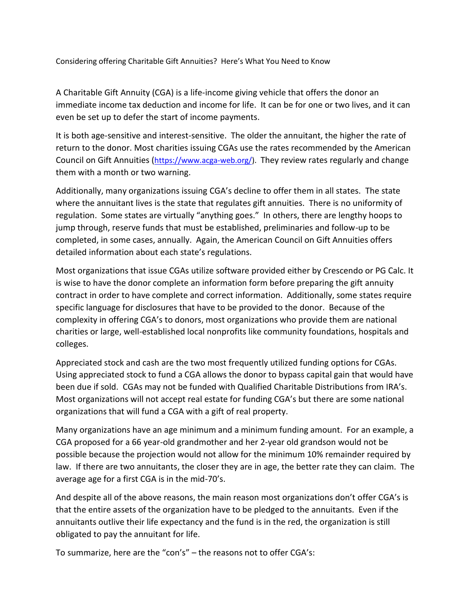Considering offering Charitable Gift Annuities? Here's What You Need to Know

A Charitable Gift Annuity (CGA) is a life-income giving vehicle that offers the donor an immediate income tax deduction and income for life. It can be for one or two lives, and it can even be set up to defer the start of income payments.

It is both age-sensitive and interest-sensitive. The older the annuitant, the higher the rate of return to the donor. Most charities issuing CGAs use the rates recommended by the American Council on Gift Annuities ([https://www.acga-web.org/\)](https://www.acga-web.org/). They review rates regularly and change them with a month or two warning.

Additionally, many organizations issuing CGA's decline to offer them in all states. The state where the annuitant lives is the state that regulates gift annuities. There is no uniformity of regulation. Some states are virtually "anything goes." In others, there are lengthy hoops to jump through, reserve funds that must be established, preliminaries and follow-up to be completed, in some cases, annually. Again, the American Council on Gift Annuities offers detailed information about each state's regulations.

Most organizations that issue CGAs utilize software provided either by Crescendo or PG Calc. It is wise to have the donor complete an information form before preparing the gift annuity contract in order to have complete and correct information. Additionally, some states require specific language for disclosures that have to be provided to the donor. Because of the complexity in offering CGA's to donors, most organizations who provide them are national charities or large, well-established local nonprofits like community foundations, hospitals and colleges.

Appreciated stock and cash are the two most frequently utilized funding options for CGAs. Using appreciated stock to fund a CGA allows the donor to bypass capital gain that would have been due if sold. CGAs may not be funded with Qualified Charitable Distributions from IRA's. Most organizations will not accept real estate for funding CGA's but there are some national organizations that will fund a CGA with a gift of real property.

Many organizations have an age minimum and a minimum funding amount. For an example, a CGA proposed for a 66 year-old grandmother and her 2-year old grandson would not be possible because the projection would not allow for the minimum 10% remainder required by law. If there are two annuitants, the closer they are in age, the better rate they can claim. The average age for a first CGA is in the mid-70's.

And despite all of the above reasons, the main reason most organizations don't offer CGA's is that the entire assets of the organization have to be pledged to the annuitants. Even if the annuitants outlive their life expectancy and the fund is in the red, the organization is still obligated to pay the annuitant for life.

To summarize, here are the "con's" – the reasons not to offer CGA's: